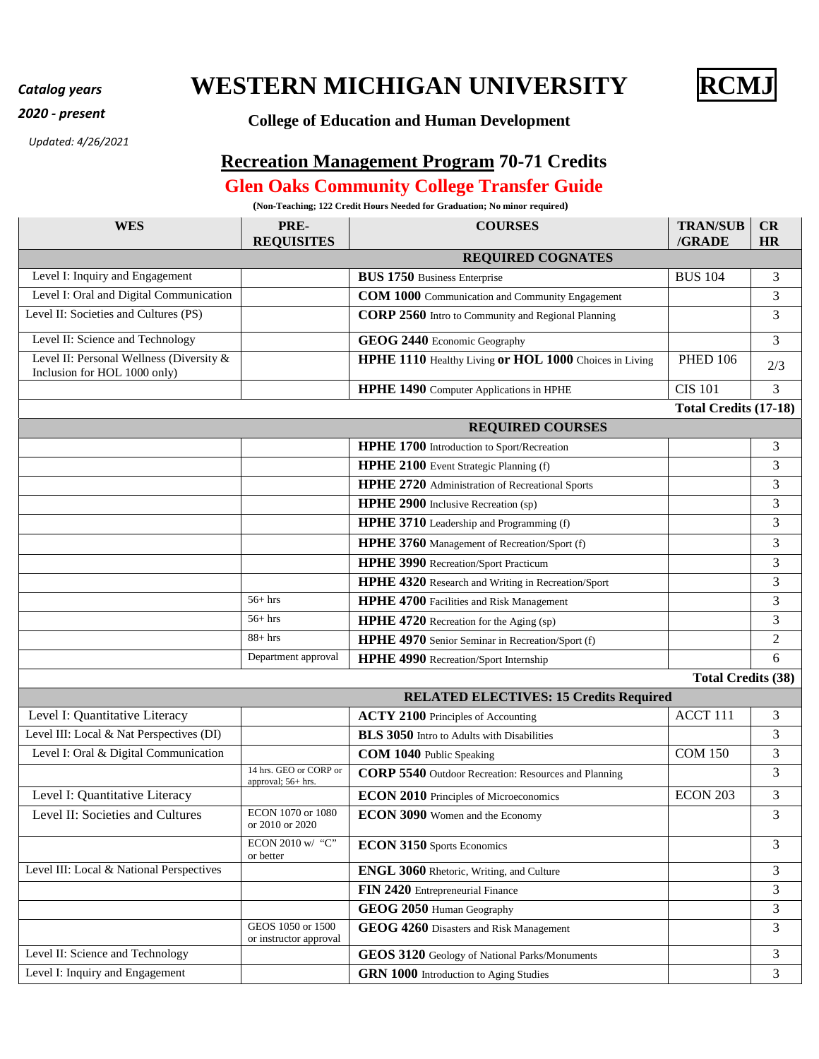## *Catalog years* **WESTERN MICHIGAN UNIVERSITY RCMJ**



## *<sup>2020</sup> - present* **College of Education and Human Development**

*Updated: 4/26/2021*

## **Recreation Management Program 70-71 Credits**

## **Glen Oaks Community College Transfer Guide**

**(Non-Teaching; 122 Credit Hours Needed for Graduation; No minor required)** 

| <b>WES</b>                                                               | PRE-<br><b>REQUISITES</b>                    | <b>COURSES</b>                                              | <b>TRAN/SUB</b><br>/GRADE    | CR<br><b>HR</b> |
|--------------------------------------------------------------------------|----------------------------------------------|-------------------------------------------------------------|------------------------------|-----------------|
|                                                                          |                                              | <b>REQUIRED COGNATES</b>                                    |                              |                 |
| Level I: Inquiry and Engagement                                          |                                              | <b>BUS 1750 Business Enterprise</b>                         | <b>BUS 104</b>               | 3               |
| Level I: Oral and Digital Communication                                  |                                              | COM 1000 Communication and Community Engagement             |                              | 3               |
| Level II: Societies and Cultures (PS)                                    |                                              | CORP 2560 Intro to Community and Regional Planning          |                              | 3               |
| Level II: Science and Technology                                         |                                              | GEOG 2440 Economic Geography                                |                              | 3               |
| Level II: Personal Wellness (Diversity &<br>Inclusion for HOL 1000 only) |                                              | HPHE 1110 Healthy Living or HOL 1000 Choices in Living      | <b>PHED 106</b>              | 2/3             |
|                                                                          |                                              | <b>HPHE 1490</b> Computer Applications in HPHE              | <b>CIS 101</b>               | 3               |
|                                                                          |                                              |                                                             | <b>Total Credits (17-18)</b> |                 |
|                                                                          |                                              | <b>REQUIRED COURSES</b>                                     |                              |                 |
|                                                                          |                                              | <b>HPHE 1700</b> Introduction to Sport/Recreation           |                              | 3               |
|                                                                          |                                              | HPHE 2100 Event Strategic Planning (f)                      |                              | 3               |
|                                                                          |                                              | HPHE 2720 Administration of Recreational Sports             |                              | 3               |
|                                                                          |                                              | <b>HPHE 2900</b> Inclusive Recreation (sp)                  |                              | 3               |
|                                                                          |                                              | <b>HPHE 3710</b> Leadership and Programming (f)             |                              | 3               |
|                                                                          |                                              | HPHE 3760 Management of Recreation/Sport (f)                |                              | 3               |
|                                                                          |                                              | <b>HPHE 3990</b> Recreation/Sport Practicum                 |                              | 3               |
|                                                                          |                                              | HPHE 4320 Research and Writing in Recreation/Sport          |                              | 3               |
|                                                                          | $56+$ hrs                                    | <b>HPHE 4700</b> Facilities and Risk Management             |                              | 3               |
|                                                                          | $56 + hrs$                                   | <b>HPHE 4720</b> Recreation for the Aging (sp)              |                              | 3               |
|                                                                          | $88 + hrs$                                   | HPHE 4970 Senior Seminar in Recreation/Sport (f)            |                              | $\overline{2}$  |
|                                                                          | Department approval                          | <b>HPHE 4990</b> Recreation/Sport Internship                |                              | 6               |
|                                                                          |                                              |                                                             | <b>Total Credits (38)</b>    |                 |
|                                                                          |                                              | <b>RELATED ELECTIVES: 15 Credits Required</b>               |                              |                 |
| Level I: Quantitative Literacy                                           |                                              | <b>ACTY 2100</b> Principles of Accounting                   | ACCT 111                     | 3               |
| Level III: Local & Nat Perspectives (DI)                                 |                                              | <b>BLS 3050</b> Intro to Adults with Disabilities           |                              | 3               |
| Level I: Oral & Digital Communication                                    |                                              | <b>COM 1040</b> Public Speaking                             | <b>COM 150</b>               | 3               |
|                                                                          | 14 hrs. GEO or CORP or<br>approval; 56+ hrs. | <b>CORP 5540</b> Outdoor Recreation: Resources and Planning |                              | 3               |
| Level I: Quantitative Literacy                                           |                                              | <b>ECON 2010</b> Principles of Microeconomics               | <b>ECON 203</b>              | 3               |
| Level II: Societies and Cultures                                         | ECON 1070 or 1080<br>or 2010 or 2020         | ECON 3090 Women and the Economy                             |                              | 3               |
|                                                                          | ECON 2010 w/ "C"<br>or better                | <b>ECON 3150</b> Sports Economics                           |                              | 3               |
| Level III: Local & National Perspectives                                 |                                              | <b>ENGL 3060</b> Rhetoric, Writing, and Culture             |                              | 3               |
|                                                                          |                                              | FIN 2420 Entrepreneurial Finance                            |                              | 3               |
|                                                                          |                                              | GEOG 2050 Human Geography                                   |                              | 3               |
|                                                                          | GEOS 1050 or 1500<br>or instructor approval  | GEOG 4260 Disasters and Risk Management                     |                              | 3               |
| Level II: Science and Technology                                         |                                              | GEOS 3120 Geology of National Parks/Monuments               |                              | 3               |
| Level I: Inquiry and Engagement                                          |                                              | GRN 1000 Introduction to Aging Studies                      |                              | 3               |